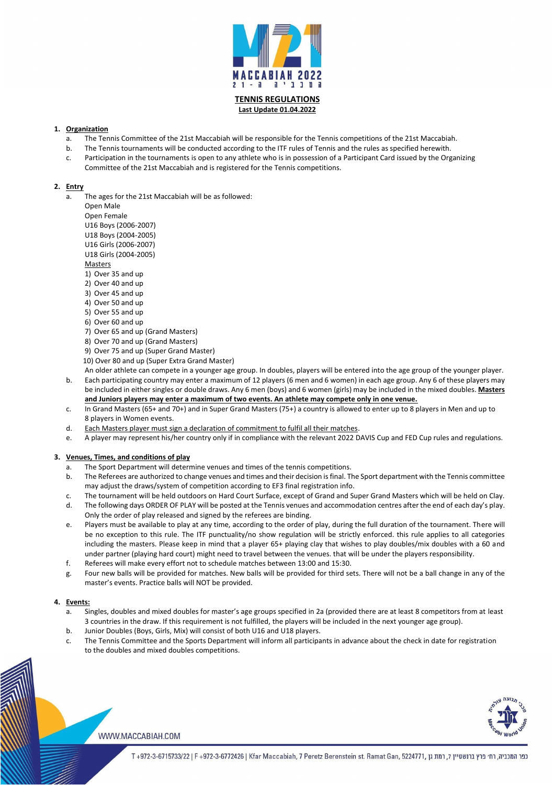

**TENNIS REGULATIONS Last Update 01.04.2022**

## **1. Organization**

- a. The Tennis Committee of the 21st Maccabiah will be responsible for the Tennis competitions of the 21st Maccabiah.
- b. The Tennis tournaments will be conducted according to the ITF rules of Tennis and the rules as specified herewith.
- c. Participation in the tournaments is open to any athlete who is in possession of a Participant Card issued by the Organizing Committee of the 21st Maccabiah and is registered for the Tennis competitions.

## **2. Entry**

a. The ages for the 21st Maccabiah will be as followed:

Open Male

Open Female U16 Boys (2006-2007) U18 Boys (2004-2005)

U16 Girls (2006-2007)

U18 Girls (2004-2005)

## Masters

- 1) Over 35 and up
- 2) Over 40 and up
- 3) Over 45 and up
- 4) Over 50 and up
- 5) Over 55 and up
- 6) Over 60 and up
- 7) Over 65 and up (Grand Masters)
- 8) Over 70 and up (Grand Masters)
- 9) Over 75 and up (Super Grand Master)
- 10) Over 80 and up (Super Extra Grand Master)
- An older athlete can compete in a younger age group. In doubles, players will be entered into the age group of the younger player.
- b. Each participating country may enter a maximum of 12 players (6 men and 6 women) in each age group. Any 6 of these players may be included in either singles or double draws. Any 6 men (boys) and 6 women (girls) may be included in the mixed doubles. **Masters and Juniors players may enter a maximum of two events. An athlete may compete only in one venue.**
- c. In Grand Masters (65+ and 70+) and in Super Grand Masters (75+) a country is allowed to enter up to 8 players in Men and up to 8 players in Women events.
- d. Each Masters player must sign a declaration of commitment to fulfil all their matches.
- e. A player may represent his/her country only if in compliance with the relevant 2022 DAVIS Cup and FED Cup rules and regulations.

# **3. Venues, Times, and conditions of play**

- a. The Sport Department will determine venues and times of the tennis competitions.
- b. The Referees are authorized to change venues and times and their decision is final. The Sport department with the Tennis committee may adjust the draws/system of competition according to EF3 final registration info.
- c. The tournament will be held outdoors on Hard Court Surface, except of Grand and Super Grand Masters which will be held on Clay.
- d. The following days ORDER OF PLAY will be posted at the Tennis venues and accommodation centres after the end of each day's play. Only the order of play released and signed by the referees are binding.
- e. Players must be available to play at any time, according to the order of play, during the full duration of the tournament. There will be no exception to this rule. The ITF punctuality/no show regulation will be strictly enforced. this rule applies to all categories including the masters. Please keep in mind that a player 65+ playing clay that wishes to play doubles/mix doubles with a 60 and under partner (playing hard court) might need to travel between the venues. that will be under the players responsibility.
- f. Referees will make every effort not to schedule matches between 13:00 and 15:30.
- g. Four new balls will be provided for matches. New balls will be provided for third sets. There will not be a ball change in any of the master's events. Practice balls will NOT be provided.
- **4. Events:**
	- a. Singles, doubles and mixed doubles for master's age groups specified in 2a (provided there are at least 8 competitors from at least 3 countries in the draw. If this requirement is not fulfilled, the players will be included in the next younger age group).
	- b. Junior Doubles (Boys, Girls, Mix) will consist of both U16 and U18 players.
	- c. The Tennis Committee and the Sports Department will inform all participants in advance about the check in date for registration to the doubles and mixed doubles competitions.





כפר המכביה, רח׳ פרץ ברנשטיין 7, רמת גן ,6724771, T+972-3-6715733/22 | F+972-3-6772426 | Kfar Maccabiah, 7 Peretz Berenstein st. Ramat Gan, 5224771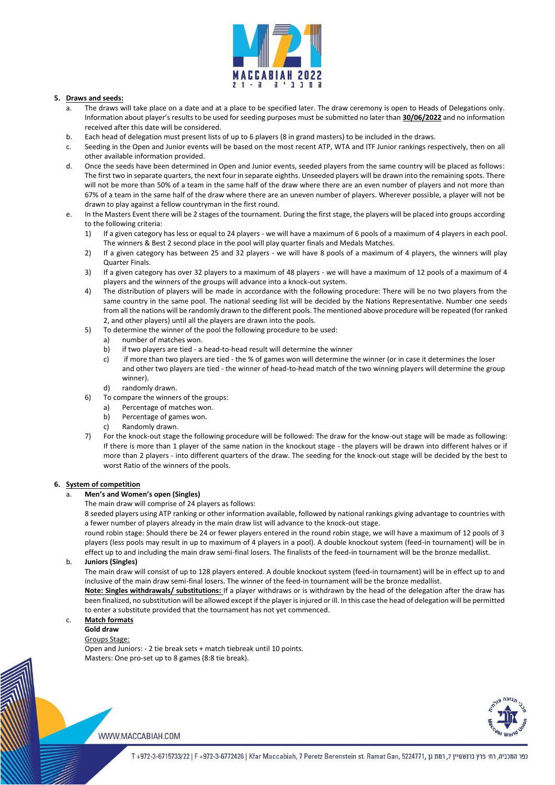

## **5. Draws and seeds:**

- a. The draws will take place on a date and at a place to be specified later. The draw ceremony is open to Heads of Delegations only. Information about player's results to be used for seeding purposes must be submitted no later than **30/06/2022** and no information received after this date will be considered.
- b. Each head of delegation must present lists of up to 6 players (8 in grand masters) to be included in the draws.
- c. Seeding in the Open and Junior events will be based on the most recent ATP, WTA and ITF Junior rankings respectively, then on all other available information provided.
- d. Once the seeds have been determined in Open and Junior events, seeded players from the same country will be placed as follows: The first two in separate quarters, the next four in separate eighths. Unseeded players will be drawn into the remaining spots. There will not be more than 50% of a team in the same half of the draw where there are an even number of players and not more than 67% of a team in the same half of the draw where there are an uneven number of players. Wherever possible, a player will not be drawn to play against a fellow countryman in the first round.
- e. In the Masters Event there will be 2 stages of the tournament. During the first stage, the players will be placed into groups according to the following criteria:
	- 1) If a given category has less or equal to 24 players we will have a maximum of 6 pools of a maximum of 4 players in each pool. The winners & Best 2 second place in the pool will play quarter finals and Medals Matches.
	- 2) If a given category has between 25 and 32 players we will have 8 pools of a maximum of 4 players, the winners will play Quarter Finals.
	- 3) If a given category has over 32 players to a maximum of 48 players we will have a maximum of 12 pools of a maximum of 4 players and the winners of the groups will advance into a knock-out system.
	- 4) The distribution of players will be made in accordance with the following procedure: There will be no two players from the same country in the same pool. The national seeding list will be decided by the Nations Representative. Number one seeds from all the nations will be randomly drawn to the different pools. The mentioned above procedure will be repeated (for ranked 2, and other players) until all the players are drawn into the pools.
	- 5) To determine the winner of the pool the following procedure to be used:
		- a) number of matches won.
		- b) if two players are tied a head-to-head result will determine the winner
		- c) if more than two players are tied the % of games won will determine the winner (or in case it determines the loser and other two players are tied - the winner of head-to-head match of the two winning players will determine the group winner).
		- d) randomly drawn.
	- 6) To compare the winners of the groups:
		- a) Percentage of matches won.
		- b) Percentage of games won.
		- c) Randomly drawn.
	- 7) For the knock-out stage the following procedure will be followed: The draw for the know-out stage will be made as following: If there is more than 1 player of the same nation in the knockout stage - the players will be drawn into different halves or if more than 2 players - into different quarters of the draw. The seeding for the knock-out stage will be decided by the best to worst Ratio of the winners of the pools.

## **6. System of competition**

## a. **Men's and Women's open (Singles)**

The main draw will comprise of 24 players as follows:

8 seeded players using ATP ranking or other information available, followed by national rankings giving advantage to countries with a fewer number of players already in the main draw list will advance to the knock-out stage.

round robin stage: Should there be 24 or fewer players entered in the round robin stage, we will have a maximum of 12 pools of 3 players (less pools may result in up to maximum of 4 players in a pool). A double knockout system (feed-in tournament) will be in effect up to and including the main draw semi-final losers. The finalists of the feed-in tournament will be the bronze medallist.

## b. **Juniors (Singles)**

The main draw will consist of up to 128 players entered. A double knockout system (feed-in tournament) will be in effect up to and inclusive of the main draw semi-final losers. The winner of the feed-in tournament will be the bronze medallist.

**Note: Singles withdrawals/ substitutions:** If a player withdraws or is withdrawn by the head of the delegation after the draw has been finalized, no substitution will be allowed except if the player is injured or ill. In this case the head of delegation will be permitted to enter a substitute provided that the tournament has not yet commenced.

c. **Match formats**

**Gold draw**

Groups Stage:

Open and Juniors: - 2 tie break sets + match tiebreak until 10 points. Masters: One pro-set up to 8 games (8:8 tie break).



WWW.MACCABIAH.COM

כפר המכביה, רח׳ פרץ ברנשטיין 7, רמת גן ,6724771, T+972-3-6715733/22 | F+972-3-6772426 | Kfar Maccabiah, 7 Peretz Berenstein st. Ramat Gan, 5224771